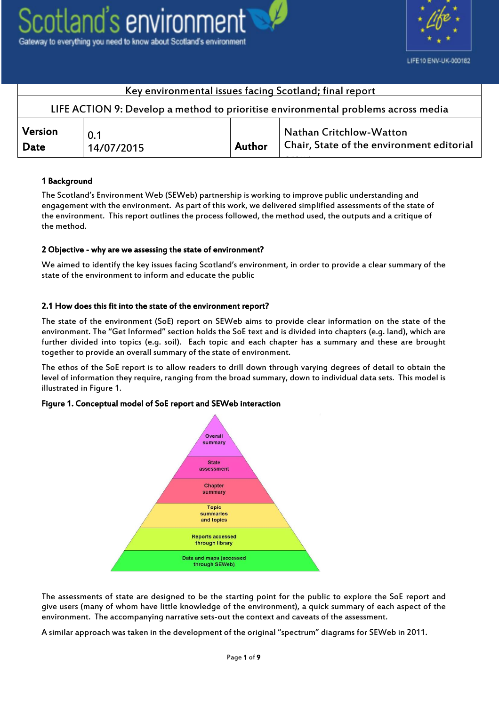



| Key environmental issues facing Scotland; final report                            |                   |        |                                                                             |  |  |  |
|-----------------------------------------------------------------------------------|-------------------|--------|-----------------------------------------------------------------------------|--|--|--|
| LIFE ACTION 9: Develop a method to prioritise environmental problems across media |                   |        |                                                                             |  |  |  |
| Version<br>Date                                                                   | 0.1<br>14/07/2015 | Author | <b>Nathan Critchlow-Watton</b><br>Chair, State of the environment editorial |  |  |  |
|                                                                                   |                   |        |                                                                             |  |  |  |

## 1 Background

The Scotland's Environment Web (SEWeb) partnership is working to improve public understanding and engagement with the environment. As part of this work, we delivered simplified assessments of the state of the environment. This report outlines the process followed, the method used, the outputs and a critique of the method.

## 2 Objective - why are we assessing the state of environment?

We aimed to identify the key issues facing Scotland's environment, in order to provide a clear summary of the state of the environment to inform and educate the public

## 2.1 How does this fit into the state of the environment report?

The state of the environment (SoE) report on SEWeb aims to provide clear information on the state of the environment. The "Get Informed" section holds the SoE text and is divided into chapters (e.g. land), which are further divided into topics (e.g. soil). Each topic and each chapter has a summary and these are brought together to provide an overall summary of the state of environment.

The ethos of the SoE report is to allow readers to drill down through varying degrees of detail to obtain the level of information they require, ranging from the broad summary, down to individual data sets. This model is illustrated in Figure 1.

## Figure 1. Conceptual model of SoE report and SEWeb interaction



The assessments of state are designed to be the starting point for the public to explore the SoE report and give users (many of whom have little knowledge of the environment), a quick summary of each aspect of the environment. The accompanying narrative sets-out the context and caveats of the assessment.

A similar approach was taken in the development of the original "spectrum" diagrams for SEWeb in 2011.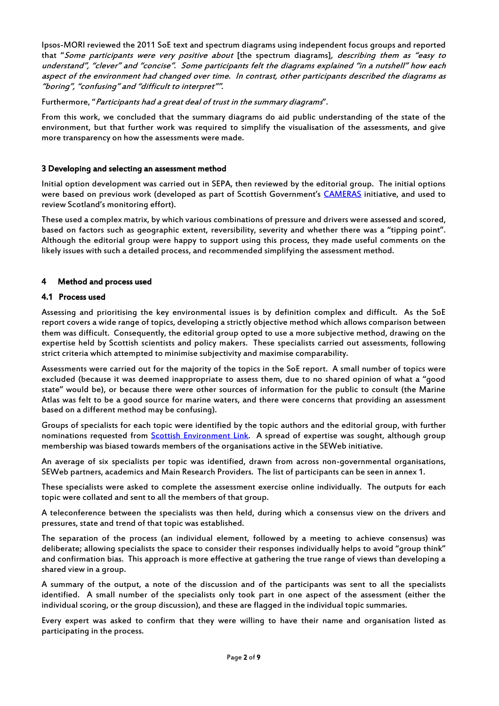Ipsos-MORI reviewed the 2011 SoE text and spectrum diagrams using independent focus groups and reported that "Some participants were very positive about [the spectrum diagrams], describing them as "easy to understand", "clever" and "concise". Some participants felt the diagrams explained "in a nutshell" how each aspect of the environment had changed over time. In contrast, other participants described the diagrams as "boring", "confusing" and "difficult to interpret"".

Furthermore, "Participants had a great deal of trust in the summary diagrams".

From this work, we concluded that the summary diagrams do aid public understanding of the state of the environment, but that further work was required to simplify the visualisation of the assessments, and give more transparency on how the assessments were made.

#### 3 Developing and selecting an assessment method

Initial option development was carried out in SEPA, then reviewed by the editorial group. The initial options were based on previous work (developed as part of Scottish Government's [CAMERAS](http://www.camerasscotland.org/scottish-environmental-monitoring-strategy) initiative, and used to review Scotland's monitoring effort).

These used a complex matrix, by which various combinations of pressure and drivers were assessed and scored, based on factors such as geographic extent, reversibility, severity and whether there was a "tipping point". Although the editorial group were happy to support using this process, they made useful comments on the likely issues with such a detailed process, and recommended simplifying the assessment method.

## 4 Method and process used

## 4.1 Process used

Assessing and prioritising the key environmental issues is by definition complex and difficult. As the SoE report covers a wide range of topics, developing a strictly objective method which allows comparison between them was difficult. Consequently, the editorial group opted to use a more subjective method, drawing on the expertise held by Scottish scientists and policy makers. These specialists carried out assessments, following strict criteria which attempted to minimise subjectivity and maximise comparability.

Assessments were carried out for the majority of the topics in the SoE report. A small number of topics were excluded (because it was deemed inappropriate to assess them, due to no shared opinion of what a "good state" would be), or because there were other sources of information for the public to consult (the Marine Atlas was felt to be a good source for marine waters, and there were concerns that providing an assessment based on a different method may be confusing).

Groups of specialists for each topic were identified by the topic authors and the editorial group, with further nominations requested from [Scottish Environment Link.](http://www.scotlink.org/) A spread of expertise was sought, although group membership was biased towards members of the organisations active in the SEWeb initiative.

An average of six specialists per topic was identified, drawn from across non-governmental organisations, SEWeb partners, academics and Main Research Providers. The list of participants can be seen in annex 1.

These specialists were asked to complete the assessment exercise online individually. The outputs for each topic were collated and sent to all the members of that group.

A teleconference between the specialists was then held, during which a consensus view on the drivers and pressures, state and trend of that topic was established.

The separation of the process (an individual element, followed by a meeting to achieve consensus) was deliberate; allowing specialists the space to consider their responses individually helps to avoid "group think" and confirmation bias. This approach is more effective at gathering the true range of views than developing a shared view in a group.

A summary of the output, a note of the discussion and of the participants was sent to all the specialists identified. A small number of the specialists only took part in one aspect of the assessment (either the individual scoring, or the group discussion), and these are flagged in the individual topic summaries.

Every expert was asked to confirm that they were willing to have their name and organisation listed as participating in the process.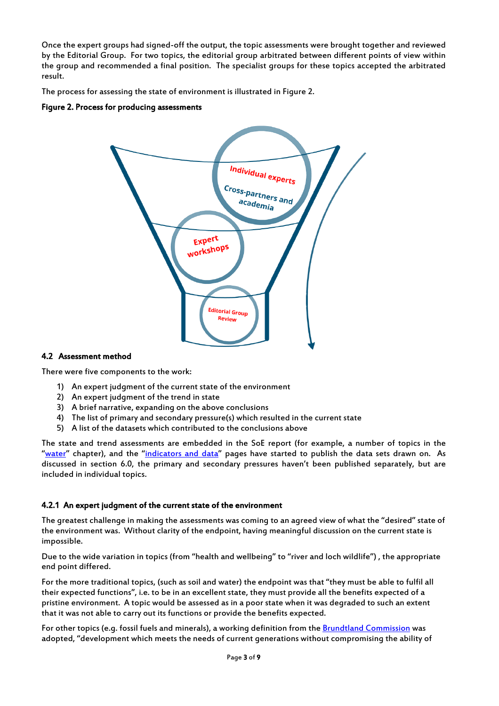Once the expert groups had signed-off the output, the topic assessments were brought together and reviewed by the Editorial Group. For two topics, the editorial group arbitrated between different points of view within the group and recommended a final position. The specialist groups for these topics accepted the arbitrated result.

The process for assessing the state of environment is illustrated in Figure 2.

## Figure 2. Process for producing assessments



## 4.2 Assessment method

There were five components to the work:

- 1) An expert judgment of the current state of the environment
- 2) An expert judgment of the trend in state
- 3) A brief narrative, expanding on the above conclusions
- 4) The list of primary and secondary pressure(s) which resulted in the current state
- 5) A list of the datasets which contributed to the conclusions above

The state and trend assessments are embedded in the SoE report (for example, a number of topics in the "[water](http://www.environment.scotland.gov.uk/get-informed/water/)" chapter), and the "[indicators and data](http://www.environment.scotland.gov.uk/get-informed/indicators-and-data/)" pages have started to publish the data sets drawn on. As discussed in section 6.0, the primary and secondary pressures haven't been published separately, but are included in individual topics.

## 4.2.1 An expert judgment of the current state of the environment

The greatest challenge in making the assessments was coming to an agreed view of what the "desired" state of the environment was. Without clarity of the endpoint, having meaningful discussion on the current state is impossible.

Due to the wide variation in topics (from "health and wellbeing" to "river and loch wildlife") , the appropriate end point differed.

For the more traditional topics, (such as soil and water) the endpoint was that "they must be able to fulfil all their expected functions", i.e. to be in an excellent state, they must provide all the benefits expected of a pristine environment. A topic would be assessed as in a poor state when it was degraded to such an extent that it was not able to carry out its functions or provide the benefits expected.

For other topics (e.g. fossil fuels and minerals), a working definition from th[e Brundtland Commission](http://www.un-documents.net/ocf-02.htm) was adopted, "development which meets the needs of current generations without compromising the ability of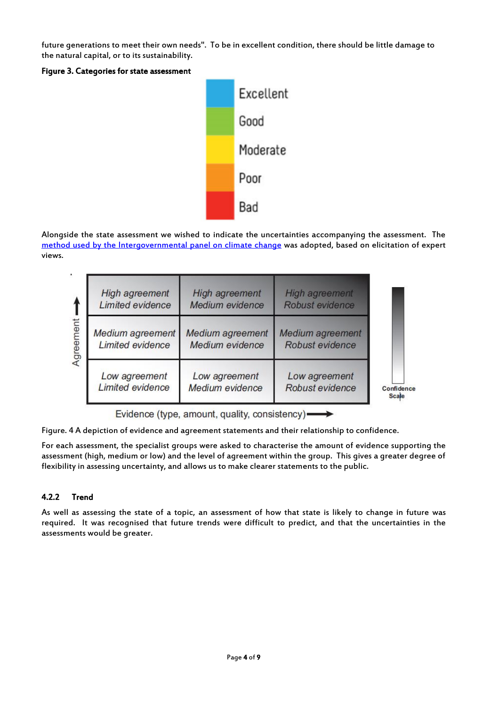future generations to meet their own needs". To be in excellent condition, there should be little damage to the natural capital, or to its sustainability.





Alongside the state assessment we wished to indicate the uncertainties accompanying the assessment. The method used [by the Intergovernmental panel on climate change](https://www.ipcc.ch/pdf/supporting-material/uncertainty-guidance-note.pdf) was adopted, based on elicitation of expert views.

|           | <b>High agreement</b><br><b>Limited evidence</b> | <b>High agreement</b><br>Medium evidence   | <b>High agreement</b><br>Robust evidence |                            |
|-----------|--------------------------------------------------|--------------------------------------------|------------------------------------------|----------------------------|
| Agreement | Medium agreement<br><b>Limited evidence</b>      | <b>Medium</b> agreement<br>Medium evidence | Medium agreement<br>Robust evidence      |                            |
|           | Low agreement<br><b>Limited evidence</b>         | Low agreement<br>Medium evidence           | Low agreement<br>Robust evidence         | Confidence<br><b>Scale</b> |

Evidence (type, amount, quality, consistency)-

Figure. 4 A depiction of evidence and agreement statements and their relationship to confidence.

For each assessment, the specialist groups were asked to characterise the amount of evidence supporting the assessment (high, medium or low) and the level of agreement within the group. This gives a greater degree of flexibility in assessing uncertainty, and allows us to make clearer statements to the public.

## 4.2.2 Trend

As well as assessing the state of a topic, an assessment of how that state is likely to change in future was required. It was recognised that future trends were difficult to predict, and that the uncertainties in the assessments would be greater.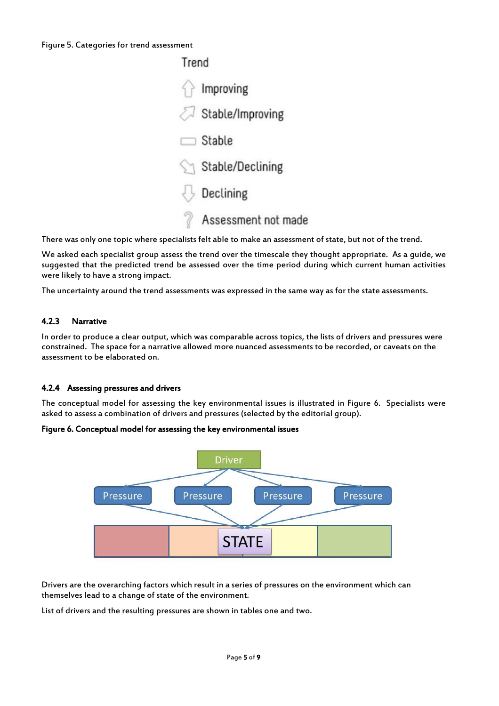#### Figure 5. Categories for trend assessment



There was only one topic where specialists felt able to make an assessment of state, but not of the trend.

We asked each specialist group assess the trend over the timescale they thought appropriate. As a guide, we suggested that the predicted trend be assessed over the time period during which current human activities were likely to have a strong impact.

The uncertainty around the trend assessments was expressed in the same way as for the state assessments.

## 4.2.3 Narrative

In order to produce a clear output, which was comparable across topics, the lists of drivers and pressures were constrained. The space for a narrative allowed more nuanced assessments to be recorded, or caveats on the assessment to be elaborated on.

## 4.2.4 Assessing pressures and drivers

The conceptual model for assessing the key environmental issues is illustrated in Figure 6. Specialists were asked to assess a combination of drivers and pressures (selected by the editorial group).

## Figure 6. Conceptual model for assessing the key environmental issues



Drivers are the overarching factors which result in a series of pressures on the environment which can themselves lead to a change of state of the environment.

List of drivers and the resulting pressures are shown in tables one and two.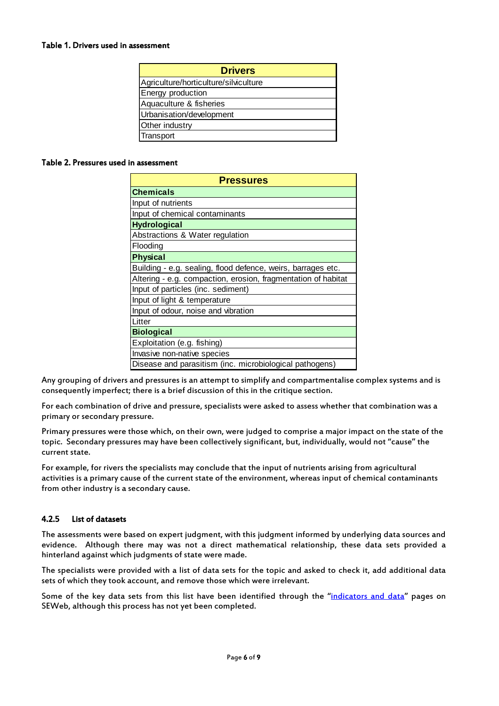#### Table 1. Drivers used in assessment

| <b>Drivers</b>                        |
|---------------------------------------|
| Agriculture/horticulture/silviculture |
| Energy production                     |
| Aquaculture & fisheries               |
| Urbanisation/development              |
| Other industry                        |
| Transport                             |

#### Table 2. Pressures used in assessment

| <b>Pressures</b>                                              |  |  |  |  |
|---------------------------------------------------------------|--|--|--|--|
| <b>Chemicals</b>                                              |  |  |  |  |
| Input of nutrients                                            |  |  |  |  |
| Input of chemical contaminants                                |  |  |  |  |
| <b>Hydrological</b>                                           |  |  |  |  |
| Abstractions & Water regulation                               |  |  |  |  |
| Flooding                                                      |  |  |  |  |
| <b>Physical</b>                                               |  |  |  |  |
| Building - e.g. sealing, flood defence, weirs, barrages etc.  |  |  |  |  |
| Altering - e.g. compaction, erosion, fragmentation of habitat |  |  |  |  |
| Input of particles (inc. sediment)                            |  |  |  |  |
| Input of light & temperature                                  |  |  |  |  |
| Input of odour, noise and vibration                           |  |  |  |  |
| Litter                                                        |  |  |  |  |
| <b>Biological</b>                                             |  |  |  |  |
| Exploitation (e.g. fishing)                                   |  |  |  |  |
| Invasive non-native species                                   |  |  |  |  |
| Disease and parasitism (inc. microbiological pathogens)       |  |  |  |  |

Any grouping of drivers and pressures is an attempt to simplify and compartmentalise complex systems and is consequently imperfect; there is a brief discussion of this in the critique section.

For each combination of drive and pressure, specialists were asked to assess whether that combination was a primary or secondary pressure.

Primary pressures were those which, on their own, were judged to comprise a major impact on the state of the topic. Secondary pressures may have been collectively significant, but, individually, would not "cause" the current state.

For example, for rivers the specialists may conclude that the input of nutrients arising from agricultural activities is a primary cause of the current state of the environment, whereas input of chemical contaminants from other industry is a secondary cause.

## 4.2.5 List of datasets

The assessments were based on expert judgment, with this judgment informed by underlying data sources and evidence. Although there may was not a direct mathematical relationship, these data sets provided a hinterland against which judgments of state were made.

The specialists were provided with a list of data sets for the topic and asked to check it, add additional data sets of which they took account, and remove those which were irrelevant.

Some of the key data sets from this list have been identified through the "[indicators and data](http://www.environment.scotland.gov.uk/get-informed/indicators-and-data/)" pages on SEWeb, although this process has not yet been completed.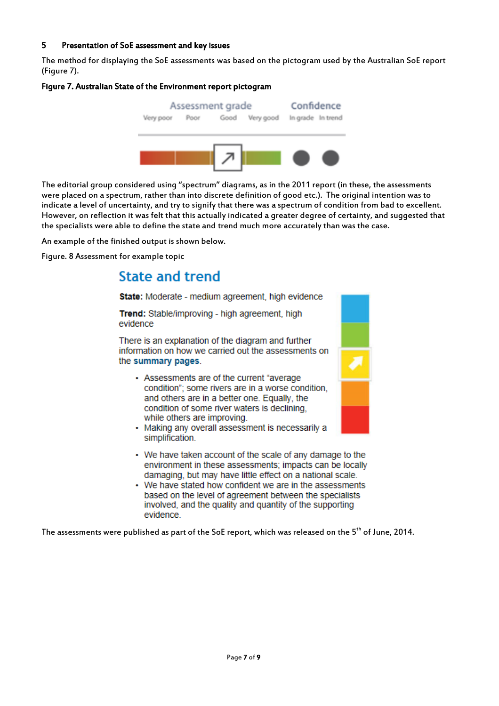## 5 Presentation of SoE assessment and key issues

The method for displaying the SoE assessments was based on the pictogram used by the Australian SoE report (Figure 7).

## Figure 7. Australian State of the Environment report pictogram



The editorial group considered using "spectrum" diagrams, as in the 2011 report (in these, the assessments were placed on a spectrum, rather than into discrete definition of good etc.). The original intention was to indicate a level of uncertainty, and try to signify that there was a spectrum of condition from bad to excellent. However, on reflection it was felt that this actually indicated a greater degree of certainty, and suggested that the specialists were able to define the state and trend much more accurately than was the case.

An example of the finished output is shown below.

Figure. 8 Assessment for example topic

# **State and trend**

State: Moderate - medium agreement, high evidence

Trend: Stable/improving - high agreement, high evidence

There is an explanation of the diagram and further information on how we carried out the assessments on the summary pages.

- Assessments are of the current "average" condition"; some rivers are in a worse condition, and others are in a better one. Equally, the condition of some river waters is declining, while others are improving.
- Making any overall assessment is necessarily a simplification.
- We have taken account of the scale of any damage to the environment in these assessments; impacts can be locally damaging, but may have little effect on a national scale.
- We have stated how confident we are in the assessments based on the level of agreement between the specialists involved, and the quality and quantity of the supporting evidence.

The assessments were published as part of the SoE report, which was released on the 5<sup>th</sup> of June, 2014.

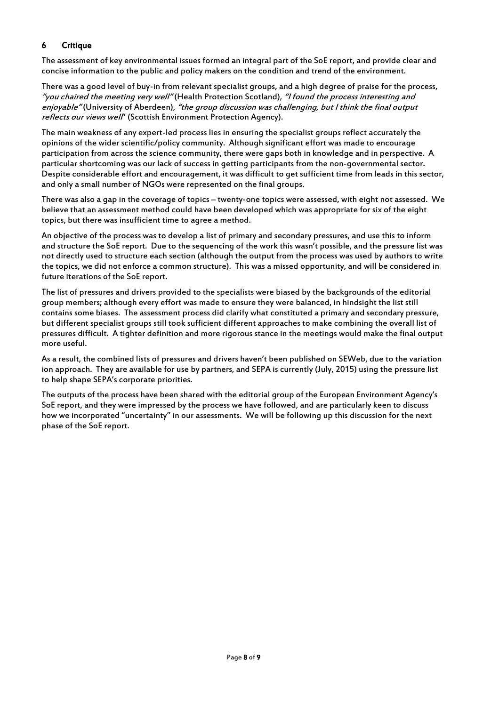## 6 Critique

The assessment of key environmental issues formed an integral part of the SoE report, and provide clear and concise information to the public and policy makers on the condition and trend of the environment.

There was a good level of buy-in from relevant specialist groups, and a high degree of praise for the process, "you chaired the meeting very well" (Health Protection Scotland), "I found the process interesting and enjoyable" (University of Aberdeen), "the group discussion was challenging, but I think the final output reflects our views well' (Scottish Environment Protection Agency).

The main weakness of any expert-led process lies in ensuring the specialist groups reflect accurately the opinions of the wider scientific/policy community. Although significant effort was made to encourage participation from across the science community, there were gaps both in knowledge and in perspective. A particular shortcoming was our lack of success in getting participants from the non-governmental sector. Despite considerable effort and encouragement, it was difficult to get sufficient time from leads in this sector, and only a small number of NGOs were represented on the final groups.

There was also a gap in the coverage of topics – twenty-one topics were assessed, with eight not assessed. We believe that an assessment method could have been developed which was appropriate for six of the eight topics, but there was insufficient time to agree a method.

An objective of the process was to develop a list of primary and secondary pressures, and use this to inform and structure the SoE report. Due to the sequencing of the work this wasn't possible, and the pressure list was not directly used to structure each section (although the output from the process was used by authors to write the topics, we did not enforce a common structure). This was a missed opportunity, and will be considered in future iterations of the SoE report.

The list of pressures and drivers provided to the specialists were biased by the backgrounds of the editorial group members; although every effort was made to ensure they were balanced, in hindsight the list still contains some biases. The assessment process did clarify what constituted a primary and secondary pressure, but different specialist groups still took sufficient different approaches to make combining the overall list of pressures difficult. A tighter definition and more rigorous stance in the meetings would make the final output more useful.

As a result, the combined lists of pressures and drivers haven't been published on SEWeb, due to the variation ion approach. They are available for use by partners, and SEPA is currently (July, 2015) using the pressure list to help shape SEPA's corporate priorities.

The outputs of the process have been shared with the editorial group of the European Environment Agency's SoE report, and they were impressed by the process we have followed, and are particularly keen to discuss how we incorporated "uncertainty" in our assessments. We will be following up this discussion for the next phase of the SoE report.